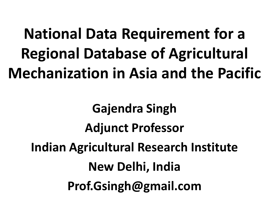## **National Data Requirement for a Regional Database of Agricultural Mechanization in Asia and the Pacific**

**Gajendra Singh Adjunct Professor Indian Agricultural Research Institute New Delhi, India Prof.Gsingh@gmail.com**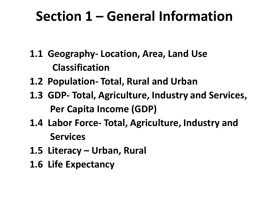#### **Section 1 – General Information**

- **1.1 Geography- Location, Area, Land Use Classification**
- **1.2 Population- Total, Rural and Urban**
- **1.3 GDP- Total, Agriculture, Industry and Services, Per Capita Income (GDP)**
- **1.4 Labor Force- Total, Agriculture, Industry and Services**
- **1.5 Literacy – Urban, Rural**
- **1.6 Life Expectancy**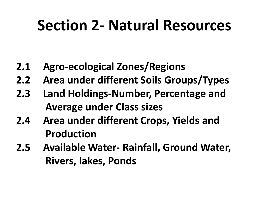## **Section 2- Natural Resources**

- **2.1 Agro-ecological Zones/Regions**
- **2.2 Area under different Soils Groups/Types**
- **2.3 Land Holdings-Number, Percentage and Average under Class sizes**
- **2.4 Area under different Crops, Yields and Production**
- **2.5 Available Water- Rainfall, Ground Water, Rivers, lakes, Ponds**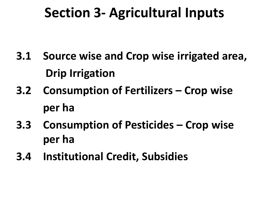#### **Section 3- Agricultural Inputs**

- **3.1 Source wise and Crop wise irrigated area, Drip Irrigation**
- **3.2 Consumption of Fertilizers – Crop wise per ha**
- **3.3 Consumption of Pesticides – Crop wise per ha**
- **3.4 Institutional Credit, Subsidies**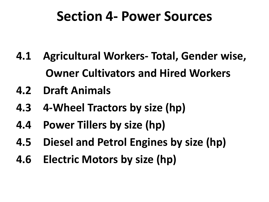#### **Section 4- Power Sources**

- **4.1 Agricultural Workers- Total, Gender wise, Owner Cultivators and Hired Workers**
- **4.2 Draft Animals**
- **4.3 4-Wheel Tractors by size (hp)**
- **4.4 Power Tillers by size (hp)**
- **4.5 Diesel and Petrol Engines by size (hp)**
- **4.6 Electric Motors by size (hp)**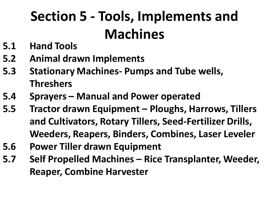## **Section 5 - Tools, Implements and Machines**

- **5.1 Hand Tools**
- **5.2 Animal drawn Implements**
- **5.3 Stationary Machines- Pumps and Tube wells, Threshers**
- **5.4 Sprayers – Manual and Power operated**
- **5.5 Tractor drawn Equipment – Ploughs, Harrows, Tillers and Cultivators, Rotary Tillers, Seed-Fertilizer Drills, Weeders, Reapers, Binders, Combines, Laser Leveler**
- **5.6 Power Tiller drawn Equipment**
- **5.7 Self Propelled Machines – Rice Transplanter, Weeder, Reaper, Combine Harvester**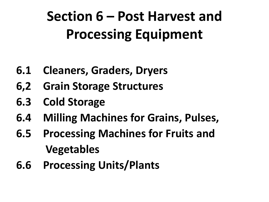## **Section 6 – Post Harvest and Processing Equipment**

- **6.1 Cleaners, Graders, Dryers**
- **6,2 Grain Storage Structures**
- **6.3 Cold Storage**
- **6.4 Milling Machines for Grains, Pulses,**
- **6.5 Processing Machines for Fruits and Vegetables**
- **6.6 Processing Units/Plants**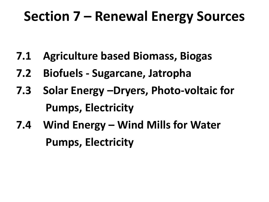#### **Section 7 – Renewal Energy Sources**

- **7.1 Agriculture based Biomass, Biogas**
- **7.2 Biofuels - Sugarcane, Jatropha**
- **7.3 Solar Energy –Dryers, Photo-voltaic for Pumps, Electricity**
- **7.4 Wind Energy – Wind Mills for Water Pumps, Electricity**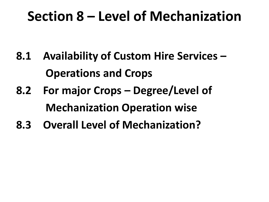#### **Section 8 – Level of Mechanization**

- **8.1 Availability of Custom Hire Services – Operations and Crops**
- **8.2 For major Crops – Degree/Level of Mechanization Operation wise**
- **8.3 Overall Level of Mechanization?**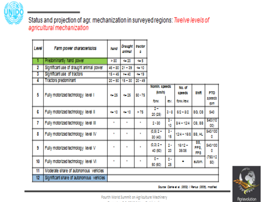

Status and projection of agr. mechanization in surveyed regions: Twelve levels of agricultural mechanization

| Loval                   | Farm power characteristics               | hand          | Draught<br>animal | tractor<br>Đ. |                                      |                                 |                    |                    |                                 |
|-------------------------|------------------------------------------|---------------|-------------------|---------------|--------------------------------------|---------------------------------|--------------------|--------------------|---------------------------------|
| 1                       | Predominantly hand power                 | > 30          | $-20$             | en 5          |                                      |                                 |                    |                    |                                 |
| $\overline{\mathbf{2}}$ | Significant use of draught animal power  | $48 - 80$     | $21 - 29$         | $-10$         |                                      |                                 |                    |                    |                                 |
| $\overline{\mathbf{3}}$ | Significant use of tractors              | $15 - 45$     | $2 - 40$          | $-19$         |                                      |                                 |                    |                    |                                 |
| T                       | <b>Tractors predominant</b>              | $20 - 50$     | $15 - 30$         | $20 - 49$     |                                      |                                 |                    |                    |                                 |
| 5                       | Fully motorized technology level I       | 0.25          | 0.25              | $50 - 75$     | Nomin, speeds<br>(km/h)              |                                 | No. of<br>speeds   | ann                | PTO<br><b>SOMEOS</b>            |
|                         |                                          |               |                   |               | <b>RANC</b>                          | WW.                             | <b>RAWAYER</b>     |                    | ņю                              |
| G                       | Fully motorized technology level II      | <b>Gal 10</b> | <b>Griff</b>      | > 75          | $\overline{\mathbf{r}}$ .<br>20 (25) | $2 - 8$                         | $6/2 - 3/2$        | 36,63              | 540                             |
| 7                       | Fully motorized technology level III     | m.            |                   | H.            | $2 - 20$                             | $\overline{\mathbf{r}}$<br>10   | 8/4 - 12/4         | C3, 83             | <b>MAN</b> <sub>10</sub><br>00) |
| 8                       | Fully motorized technology level IV      | <b>III</b>    | m.                | a.            | $(0,5)$ $2 -$<br>20 (40)             | $\overline{\mathbf{z}}$ –<br>15 | 12/4 - 16/8 38, HL |                    | 540/100<br>D                    |
| g.                      | Fully motorized technology level V       | u.            |                   | a.            | $(0,3)$ $2 -$<br>40 (50)             | ŋ.<br>20                        | 16/12-<br>20/20    | 88,<br>PP8.<br>FPS | 540/100<br>o                    |
| 10                      | Fully motorized technology level VI      | <b>ALC</b>    | m.                | a.            | $\mathbf{p}$ –<br>50 (60)            | ņ.<br>25                        |                    | autom.             | (750/12)<br>50)                 |
| $^{\text{11}}$          | Moderate share of autonomous vehicles    |               |                   |               |                                      |                                 |                    |                    |                                 |
| $\overline{12}$         | Significant share of autonomous vehicles |               |                   |               |                                      |                                 |                    |                    |                                 |



Source: Clarke et al. (2002) / Reniss (2005), modified.

Fourth World Summit on Agriculture Machinery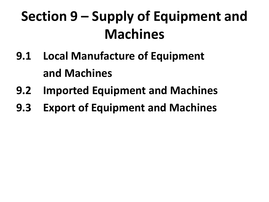## **Section 9 – Supply of Equipment and Machines**

- **9.1 Local Manufacture of Equipment and Machines**
- **9.2 Imported Equipment and Machines**
- **9.3 Export of Equipment and Machines**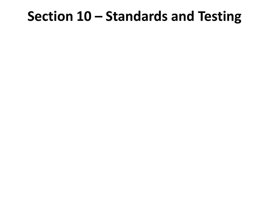#### **Section 10 – Standards and Testing**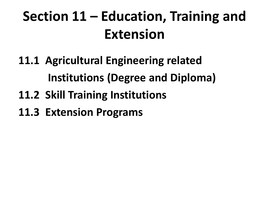## **Section 11 – Education, Training and Extension**

- **11.1 Agricultural Engineering related Institutions (Degree and Diploma)**
- **11.2 Skill Training Institutions**
- **11.3 Extension Programs**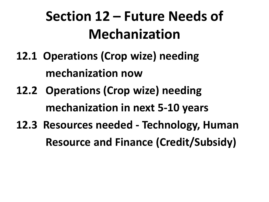## **Section 12 – Future Needs of Mechanization**

- **12.1 Operations (Crop wize) needing mechanization now**
- **12.2 Operations (Crop wize) needing mechanization in next 5-10 years**
- **12.3 Resources needed - Technology, Human Resource and Finance (Credit/Subsidy)**